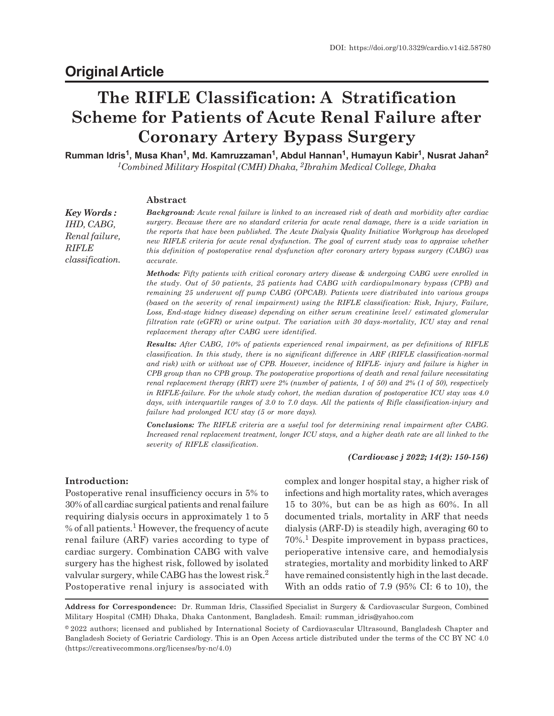# **The RIFLE Classification: A Stratification Scheme for Patients of Acute Renal Failure after Coronary Artery Bypass Surgery**

**Rumman Idris<sup>1</sup> , Musa Khan<sup>1</sup> , Md. Kamruzzaman<sup>1</sup> , Abdul Hannan<sup>1</sup> , Humayun Kabir<sup>1</sup> , Nusrat Jahan<sup>2</sup>** *<sup>1</sup>Combined Military Hospital (CMH) Dhaka, <sup>2</sup> Ibrahim Medical College, Dhaka*

## **Abstract**

*Key Words : IHD, CABG, Renal failure, RIFLE classification.* *Background: Acute renal failure is linked to an increased risk of death and morbidity after cardiac surgery. Because there are no standard criteria for acute renal damage, there is a wide variation in the reports that have been published. The Acute Dialysis Quality Initiative Workgroup has developed new RIFLE criteria for acute renal dysfunction. The goal of current study was to appraise whether this definition of postoperative renal dysfunction after coronary artery bypass surgery (CABG) was accurate.*

*Methods: Fifty patients with critical coronary artery disease & undergoing CABG were enrolled in the study. Out of 50 patients, 25 patients had CABG with cardiopulmonary bypass (CPB) and remaining 25 underwent off pump CABG (OPCAB). Patients were distributed into various groups (based on the severity of renal impairment) using the RIFLE classification: Risk, Injury, Failure, Loss, End-stage kidney disease) depending on either serum creatinine level/ estimated glomerular filtration rate (eGFR) or urine output. The variation with 30 days-mortality, ICU stay and renal replacement therapy after CABG were identified.*

*Results: After CABG, 10% of patients experienced renal impairment, as per definitions of RIFLE classification. In this study, there is no significant difference in ARF (RIFLE classification-normal and risk) with or without use of CPB. However, incidence of RIFLE- injury and failure is higher in CPB group than no CPB group. The postoperative proportions of death and renal failure necessitating renal replacement therapy (RRT) were 2% (number of patients, 1 of 50) and 2% (1 of 50), respectively in RIFLE-failure. For the whole study cohort, the median duration of postoperative ICU stay was 4.0 days, with interquartile ranges of 3.0 to 7.0 days. All the patients of Rifle classification-injury and failure had prolonged ICU stay (5 or more days).*

*Conclusions: The RIFLE criteria are a useful tool for determining renal impairment after CABG. Increased renal replacement treatment, longer ICU stays, and a higher death rate are all linked to the severity of RIFLE classification.*

## *(Cardiovasc j 2022; 14(2): 150-156)*

# **Introduction:**

Postoperative renal insufficiency occurs in 5% to 30% of all cardiac surgical patients and renal failure requiring dialysis occurs in approximately 1 to 5 % of all patients.<sup>1</sup> However, the frequency of acute renal failure (ARF) varies according to type of cardiac surgery. Combination CABG with valve surgery has the highest risk, followed by isolated valvular surgery, while CABG has the lowest risk.<sup>2</sup> Postoperative renal injury is associated with

complex and longer hospital stay, a higher risk of infections and high mortality rates, which averages 15 to 30%, but can be as high as 60%. In all documented trials, mortality in ARF that needs dialysis (ARF-D) is steadily high, averaging 60 to 70%.<sup>1</sup> Despite improvement in bypass practices, perioperative intensive care, and hemodialysis strategies, mortality and morbidity linked to ARF have remained consistently high in the last decade. With an odds ratio of 7.9 (95% CI: 6 to 10), the

**Address for Correspondence:** Dr. Rumman Idris, Classified Specialist in Surgery & Cardiovascular Surgeon, Combined Military Hospital (CMH) Dhaka, Dhaka Cantonment, Bangladesh. Email: rumman\_idris@yahoo.com

<sup>©2022</sup> authors; licensed and published by International Society of Cardiovascular Ultrasound, Bangladesh Chapter and Bangladesh Society of Geriatric Cardiology. This is an Open Access article distributed under the terms of the CC BY NC 4.0 (https://creativecommons.org/licenses/by-nc/4.0)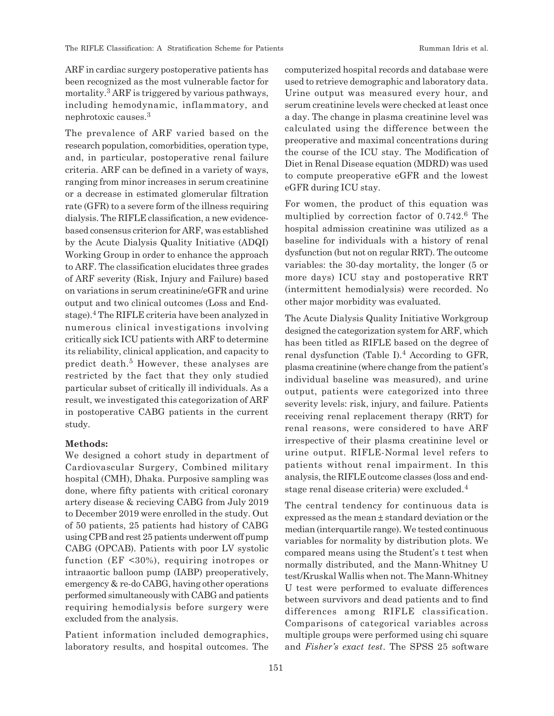ARF in cardiac surgery postoperative patients has been recognized as the most vulnerable factor for mortality.<sup>3</sup> ARF is triggered by various pathways, including hemodynamic, inflammatory, and nephrotoxic causes.<sup>3</sup>

The prevalence of ARF varied based on the research population, comorbidities, operation type, and, in particular, postoperative renal failure criteria. ARF can be defined in a variety of ways, ranging from minor increases in serum creatinine or a decrease in estimated glomerular filtration rate (GFR) to a severe form of the illness requiring dialysis. The RIFLE classification, a new evidencebased consensus criterion for ARF, was established by the Acute Dialysis Quality Initiative (ADQI) Working Group in order to enhance the approach to ARF. The classification elucidates three grades of ARF severity (Risk, Injury and Failure) based on variations in serum creatinine/eGFR and urine output and two clinical outcomes (Loss and Endstage).<sup>4</sup> The RIFLE criteria have been analyzed in numerous clinical investigations involving critically sick ICU patients with ARF to determine its reliability, clinical application, and capacity to predict death.<sup>5</sup> However, these analyses are restricted by the fact that they only studied particular subset of critically ill individuals. As a result, we investigated this categorization of ARF in postoperative CABG patients in the current study.

#### **Methods:**

We designed a cohort study in department of Cardiovascular Surgery, Combined military hospital (CMH), Dhaka. Purposive sampling was done, where fifty patients with critical coronary artery disease & recieving CABG from July 2019 to December 2019 were enrolled in the study. Out of 50 patients, 25 patients had history of CABG using CPB and rest 25 patients underwent off pump CABG (OPCAB). Patients with poor LV systolic function (EF <30%), requiring inotropes or intraaortic balloon pump (IABP) preoperatively, emergency & re-do CABG, having other operations performed simultaneously with CABG and patients requiring hemodialysis before surgery were excluded from the analysis.

Patient information included demographics, laboratory results, and hospital outcomes. The computerized hospital records and database were used to retrieve demographic and laboratory data. Urine output was measured every hour, and serum creatinine levels were checked at least once a day. The change in plasma creatinine level was calculated using the difference between the preoperative and maximal concentrations during the course of the ICU stay. The Modification of Diet in Renal Disease equation (MDRD) was used to compute preoperative eGFR and the lowest eGFR during ICU stay.

For women, the product of this equation was multiplied by correction factor of 0.742.<sup>6</sup> The hospital admission creatinine was utilized as a baseline for individuals with a history of renal dysfunction (but not on regular RRT). The outcome variables: the 30-day mortality, the longer (5 or more days) ICU stay and postoperative RRT (intermittent hemodialysis) were recorded. No other major morbidity was evaluated.

The Acute Dialysis Quality Initiative Workgroup designed the categorization system for ARF, which has been titled as RIFLE based on the degree of renal dysfunction (Table I).<sup>4</sup> According to GFR, plasma creatinine (where change from the patient's individual baseline was measured), and urine output, patients were categorized into three severity levels: risk, injury, and failure. Patients receiving renal replacement therapy (RRT) for renal reasons, were considered to have ARF irrespective of their plasma creatinine level or urine output. RIFLE-Normal level refers to patients without renal impairment. In this analysis, the RIFLE outcome classes (loss and endstage renal disease criteria) were excluded.<sup>4</sup>

The central tendency for continuous data is expressed as the mean ± standard deviation or the median (interquartile range). We tested continuous variables for normality by distribution plots. We compared means using the Student's t test when normally distributed, and the Mann-Whitney U test/Kruskal Wallis when not. The Mann-Whitney U test were performed to evaluate differences between survivors and dead patients and to find differences among RIFLE classification. Comparisons of categorical variables across multiple groups were performed using chi square and *Fisher's exact test*. The SPSS 25 software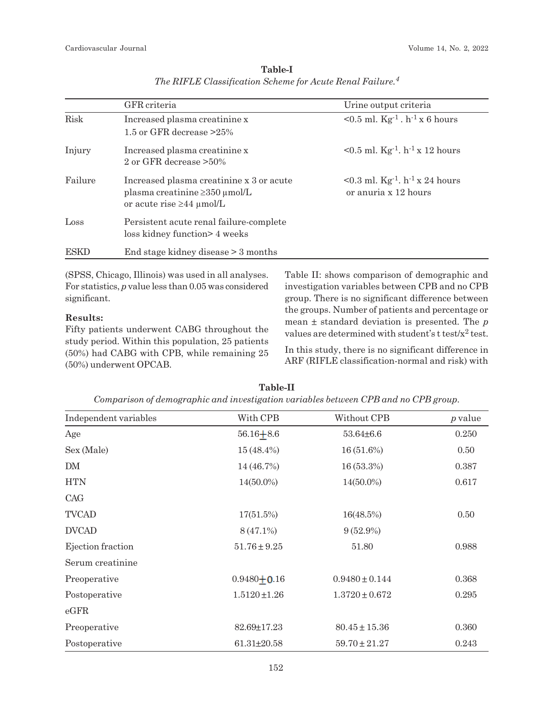|             | GFR criteria                                                                                                      | Urine output criteria                                                                |
|-------------|-------------------------------------------------------------------------------------------------------------------|--------------------------------------------------------------------------------------|
| <b>Risk</b> | Increased plasma creatinine x<br>1.5 or GFR decrease $>25\%$                                                      | $\leq 0.5$ ml. Kg <sup>-1</sup> . h <sup>-1</sup> x 6 hours                          |
| Injury      | Increased plasma creatinine x<br>2 or GFR decrease $>50\%$                                                        | $\leq 0.5$ ml. Kg <sup>-1</sup> . h <sup>-1</sup> x 12 hours                         |
| Failure     | Increased plasma creatinine x 3 or acute<br>plasma creatinine $\geq$ 350 µmol/L<br>or acute rise $\geq 44$ µmol/L | $\leq 0.3$ ml. Kg <sup>-1</sup> . h <sup>-1</sup> x 24 hours<br>or anuria x 12 hours |
| Loss        | Persistent acute renal failure-complete<br>loss kidney function> 4 weeks                                          |                                                                                      |
| <b>ESKD</b> | End stage kidney disease $>$ 3 months                                                                             |                                                                                      |

**Table-I** *The RIFLE Classification Scheme for Acute Renal Failure.<sup>4</sup>*

(SPSS, Chicago, Illinois) was used in all analyses. For statistics, *p* value less than 0.05 was considered significant.

# **Results:**

Fifty patients underwent CABG throughout the study period. Within this population, 25 patients (50%) had CABG with CPB, while remaining 25 (50%) underwent OPCAB.

Table II: shows comparison of demographic and investigation variables between CPB and no CPB group. There is no significant difference between the groups. Number of patients and percentage or mean ± standard deviation is presented. The *p* values are determined with student's t test/x2 test.

In this study, there is no significant difference in ARF (RIFLE classification-normal and risk) with

| Comparisoni of acmographic and incesignmon caritables occurent of D and no Of D group. |                   |                    |                |  |  |  |
|----------------------------------------------------------------------------------------|-------------------|--------------------|----------------|--|--|--|
| Independent variables                                                                  | With CPB          | Without CPB        | <i>p</i> value |  |  |  |
| Age                                                                                    | $56.16 + 8.6$     | $53.64 \pm 6.6$    | 0.250          |  |  |  |
| Sex (Male)                                                                             | $15(48.4\%)$      | $16(51.6\%)$       | 0.50           |  |  |  |
| DM                                                                                     | 14 (46.7%)        | $16(53.3\%)$       | 0.387          |  |  |  |
| <b>HTN</b>                                                                             | $14(50.0\%)$      | 14(50.0%)          | 0.617          |  |  |  |
| CAG                                                                                    |                   |                    |                |  |  |  |
| <b>TVCAD</b>                                                                           | 17(51.5%)         | 16(48.5%)          | 0.50           |  |  |  |
| <b>DVCAD</b>                                                                           | 8 (47.1%)         | $9(52.9\%)$        |                |  |  |  |
| Ejection fraction                                                                      | $51.76 \pm 9.25$  | 51.80              | 0.988          |  |  |  |
| Serum creatinine                                                                       |                   |                    |                |  |  |  |
| Preoperative                                                                           | $0.9480 + 0.16$   | $0.9480 \pm 0.144$ | 0.368          |  |  |  |
| Postoperative                                                                          | $1.5120 \pm 1.26$ | $1.3720 \pm 0.672$ | 0.295          |  |  |  |
| eGFR                                                                                   |                   |                    |                |  |  |  |
| Preoperative                                                                           | $82.69 \pm 17.23$ | $80.45 \pm 15.36$  | 0.360          |  |  |  |
| Postoperative                                                                          | $61.31 \pm 20.58$ | $59.70 \pm 21.27$  | 0.243          |  |  |  |

**Table-II** *Comparison of demographic and investigation variables between CPB and no CPB group.*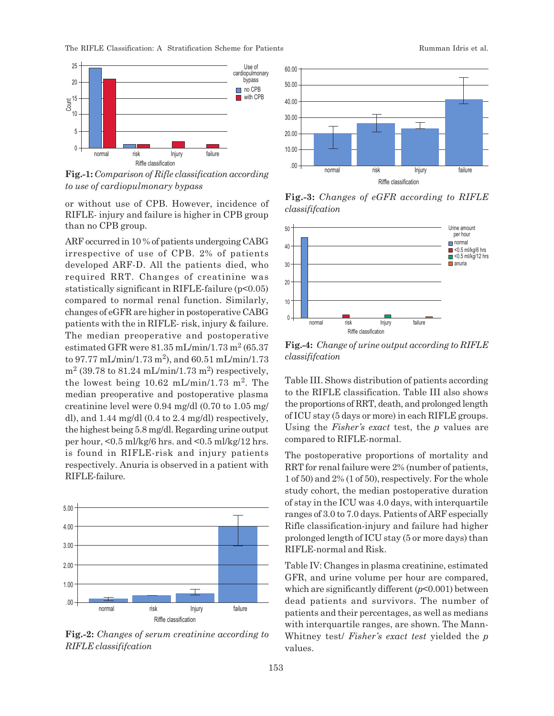The RIFLE Classification: A Stratification Scheme for Patients Rumman Idris et al.



**Fig.-1:** *Comparison of Rifle classification according to use of cardiopulmonary bypass*

or without use of CPB. However, incidence of RIFLE- injury and failure is higher in CPB group than no CPB group.

ARF occurred in 10 % of patients undergoing CABG irrespective of use of CPB. 2% of patients developed ARF-D. All the patients died, who required RRT. Changes of creatinine was statistically significant in RIFLE-failure  $(p<0.05)$ compared to normal renal function. Similarly, changes of eGFR are higher in postoperative CABG patients with the in RIFLE- risk, injury & failure. The median preoperative and postoperative estimated GFR were  $81.35$  mL/min/1.73 m<sup>2</sup> (65.37) to 97.77 mL/min/1.73 m<sup>2</sup> ), and 60.51 mL/min/1.73  $m^2$  (39.78 to 81.24 mL/min/1.73 m<sup>2</sup>) respectively, the lowest being  $10.62$  mL/min/1.73 m<sup>2</sup>. The median preoperative and postoperative plasma creatinine level were 0.94 mg/dl (0.70 to 1.05 mg/ dl), and 1.44 mg/dl (0.4 to 2.4 mg/dl) respectively, the highest being 5.8 mg/dl. Regarding urine output per hour, <0.5 ml/kg/6 hrs. and <0.5 ml/kg/12 hrs. is found in RIFLE-risk and injury patients respectively. Anuria is observed in a patient with RIFLE-failure.



**Fig.-2:** *Changes of serum creatinine according to RIFLE classififcation*



**Fig.-3:** *Changes of eGFR according to RIFLE classififcation*



**Fig.-4:** *Change of urine output according to RIFLE classififcation*

Table III. Shows distribution of patients according to the RIFLE classification. Table III also shows the proportions of RRT, death, and prolonged length of ICU stay (5 days or more) in each RIFLE groups. Using the *Fisher's exact* test, the *p* values are compared to RIFLE-normal.

The postoperative proportions of mortality and RRT for renal failure were 2% (number of patients, 1 of 50) and 2% (1 of 50), respectively. For the whole study cohort, the median postoperative duration of stay in the ICU was 4.0 days, with interquartile ranges of 3.0 to 7.0 days. Patients of ARF especially Rifle classification-injury and failure had higher prolonged length of ICU stay (5 or more days) than RIFLE-normal and Risk.

Table IV: Changes in plasma creatinine, estimated GFR, and urine volume per hour are compared, which are significantly different (*p*<0.001) between dead patients and survivors. The number of patients and their percentages, as well as medians with interquartile ranges, are shown. The Mann-Whitney test/ *Fisher's exact test* yielded the *p* values.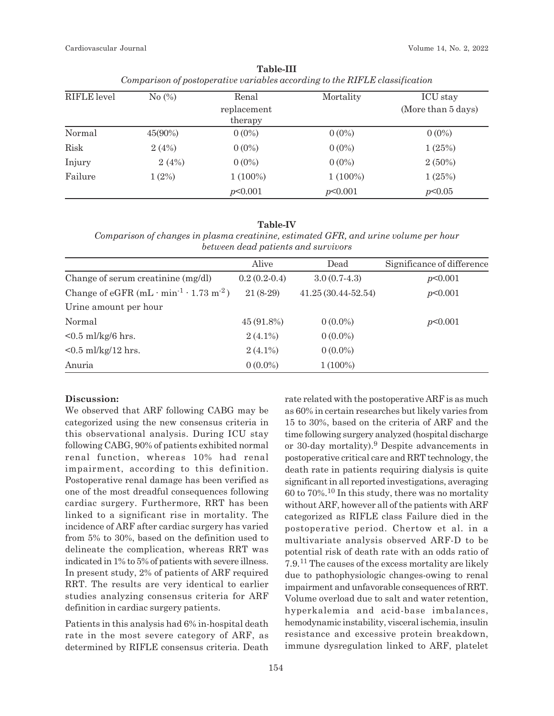#### Cardiovascular Journal Volume 14, No. 2, 2022

| RIFLE level | No $(\%)$  | Renal                  | Mortality  | ICU stay           |
|-------------|------------|------------------------|------------|--------------------|
|             |            | replacement<br>therapy |            | (More than 5 days) |
| Normal      | $45(90\%)$ | $0(0\%)$               | $0(0\%)$   | $0(0\%)$           |
| Risk        | 2(4%)      | $0(0\%)$               | $0(0\%)$   | 1(25%)             |
| Injury      | 2(4%)      | $0(0\%)$               | $0(0\%)$   | $2(50\%)$          |
| Failure     | $1(2\%)$   | $1(100\%)$             | $1(100\%)$ | 1(25%)             |
|             |            | p<0.001                | p<0.001    | p<0.05             |

**Table-III** *Comparison of postoperative variables according to the RIFLE classification*

#### **Table-IV**

*Comparison of changes in plasma creatinine, estimated GFR, and urine volume per hour between dead patients and survivors*

|                                                        | Alive          | Dead                 | Significance of difference |
|--------------------------------------------------------|----------------|----------------------|----------------------------|
| Change of serum creatinine (mg/dl)                     | $0.2(0.2-0.4)$ | $3.0(0.7-4.3)$       | p<0.001                    |
| Change of eGFR $(mL \cdot min^{-1} \cdot 1.73 m^{-2})$ | $21(8-29)$     | $41.25(30.44-52.54)$ | p<0.001                    |
| Urine amount per hour                                  |                |                      |                            |
| Normal                                                 | $45(91.8\%)$   | $0(0.0\%)$           | p<0.001                    |
| $< 0.5$ ml/kg/6 hrs.                                   | $2(4.1\%)$     | $0(0.0\%)$           |                            |
| $< 0.5$ ml/kg/12 hrs.                                  | $2(4.1\%)$     | $0(0.0\%)$           |                            |
| Anuria                                                 | $0(0.0\%)$     | $1(100\%)$           |                            |

## **Discussion:**

We observed that ARF following CABG may be categorized using the new consensus criteria in this observational analysis. During ICU stay following CABG, 90% of patients exhibited normal renal function, whereas 10% had renal impairment, according to this definition. Postoperative renal damage has been verified as one of the most dreadful consequences following cardiac surgery. Furthermore, RRT has been linked to a significant rise in mortality. The incidence of ARF after cardiac surgery has varied from 5% to 30%, based on the definition used to delineate the complication, whereas RRT was indicated in 1% to 5% of patients with severe illness. In present study, 2% of patients of ARF required RRT. The results are very identical to earlier studies analyzing consensus criteria for ARF definition in cardiac surgery patients.

Patients in this analysis had 6% in-hospital death rate in the most severe category of ARF, as determined by RIFLE consensus criteria. Death as 60% in certain researches but likely varies from 15 to 30%, based on the criteria of ARF and the time following surgery analyzed (hospital discharge or 30-day mortality).<sup>9</sup> Despite advancements in postoperative critical care and RRT technology, the death rate in patients requiring dialysis is quite significant in all reported investigations, averaging 60 to 70%.<sup>10</sup> In this study, there was no mortality without ARF, however all of the patients with ARF categorized as RIFLE class Failure died in the postoperative period. Chertow et al. in a multivariate analysis observed ARF-D to be potential risk of death rate with an odds ratio of 7.9.11 The causes of the excess mortality are likely due to pathophysiologic changes-owing to renal impairment and unfavorable consequences of RRT. Volume overload due to salt and water retention, hyperkalemia and acid-base imbalances, hemodynamic instability, visceral ischemia, insulin resistance and excessive protein breakdown, immune dysregulation linked to ARF, platelet

rate related with the postoperative ARF is as much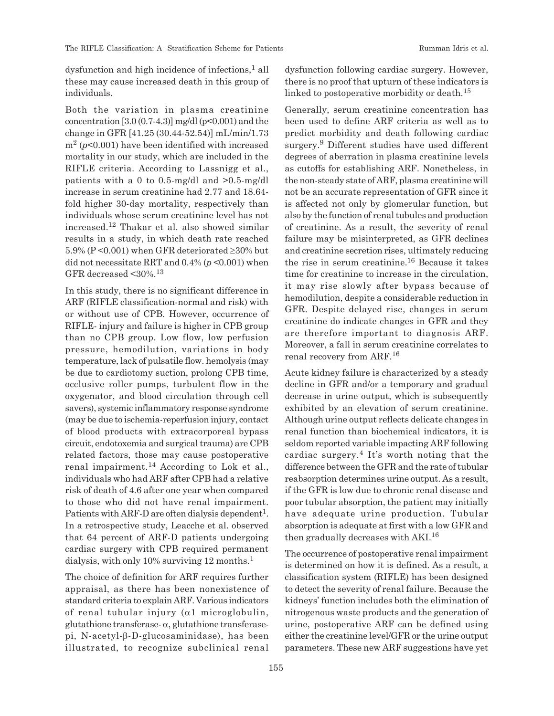dysfunction and high incidence of infections,<sup>1</sup> all these may cause increased death in this group of individuals.

Both the variation in plasma creatinine concentration  $[3.0 (0.7-4.3)]$  mg/dl (p<0.001) and the change in GFR [41.25 (30.44-52.54)] mL/min/1.73 m<sup>2</sup> (*p*<0.001) have been identified with increased mortality in our study, which are included in the RIFLE criteria. According to Lassnigg et al., patients with a 0 to 0.5-mg/dl and >0.5-mg/dl increase in serum creatinine had 2.77 and 18.64 fold higher 30-day mortality, respectively than individuals whose serum creatinine level has not increased.12 Thakar et al. also showed similar results in a study, in which death rate reached 5.9% ( $P \le 0.001$ ) when GFR deteriorated  $\ge 30\%$  but did not necessitate RRT and 0.4% (*p* <0.001) when GFR decreased <30%.<sup>13</sup>

In this study, there is no significant difference in ARF (RIFLE classification-normal and risk) with or without use of CPB. However, occurrence of RIFLE- injury and failure is higher in CPB group than no CPB group. Low flow, low perfusion pressure, hemodilution, variations in body temperature, lack of pulsatile flow. hemolysis (may be due to cardiotomy suction, prolong CPB time, occlusive roller pumps, turbulent flow in the oxygenator, and blood circulation through cell savers), systemic inflammatory response syndrome (may be due to ischemia-reperfusion injury, contact of blood products with extracorporeal bypass circuit, endotoxemia and surgical trauma) are CPB related factors, those may cause postoperative renal impairment.<sup>14</sup> According to Lok et al., individuals who had ARF after CPB had a relative risk of death of 4.6 after one year when compared to those who did not have renal impairment. Patients with ARF-D are often dialysis dependent<sup>1</sup>. In a retrospective study, Leacche et al. observed that 64 percent of ARF-D patients undergoing cardiac surgery with CPB required permanent dialysis, with only 10% surviving 12 months.<sup>1</sup>

The choice of definition for ARF requires further appraisal, as there has been nonexistence of standard criteria to explain ARF. Various indicators of renal tubular injury  $(\alpha 1$  microglobulin, glutathione transferase- $\alpha$ , glutathione transferasepi, N-acetyl-b-D-glucosaminidase), has been illustrated, to recognize subclinical renal dysfunction following cardiac surgery. However, there is no proof that upturn of these indicators is linked to postoperative morbidity or death.<sup>15</sup>

Generally, serum creatinine concentration has been used to define ARF criteria as well as to predict morbidity and death following cardiac surgery.<sup>9</sup> Different studies have used different degrees of aberration in plasma creatinine levels as cutoffs for establishing ARF. Nonetheless, in the non-steady state of ARF, plasma creatinine will not be an accurate representation of GFR since it is affected not only by glomerular function, but also by the function of renal tubules and production of creatinine. As a result, the severity of renal failure may be misinterpreted, as GFR declines and creatinine secretion rises, ultimately reducing the rise in serum creatinine.16 Because it takes time for creatinine to increase in the circulation, it may rise slowly after bypass because of hemodilution, despite a considerable reduction in GFR. Despite delayed rise, changes in serum creatinine do indicate changes in GFR and they are therefore important to diagnosis ARF. Moreover, a fall in serum creatinine correlates to renal recovery from ARF.<sup>16</sup>

Acute kidney failure is characterized by a steady decline in GFR and/or a temporary and gradual decrease in urine output, which is subsequently exhibited by an elevation of serum creatinine. Although urine output reflects delicate changes in renal function than biochemical indicators, it is seldom reported variable impacting ARF following cardiac surgery.<sup>4</sup> It's worth noting that the difference between the GFR and the rate of tubular reabsorption determines urine output. As a result, if the GFR is low due to chronic renal disease and poor tubular absorption, the patient may initially have adequate urine production. Tubular absorption is adequate at first with a low GFR and then gradually decreases with AKI.<sup>16</sup>

The occurrence of postoperative renal impairment is determined on how it is defined. As a result, a classification system (RIFLE) has been designed to detect the severity of renal failure. Because the kidneys' function includes both the elimination of nitrogenous waste products and the generation of urine, postoperative ARF can be defined using either the creatinine level/GFR or the urine output parameters. These new ARF suggestions have yet